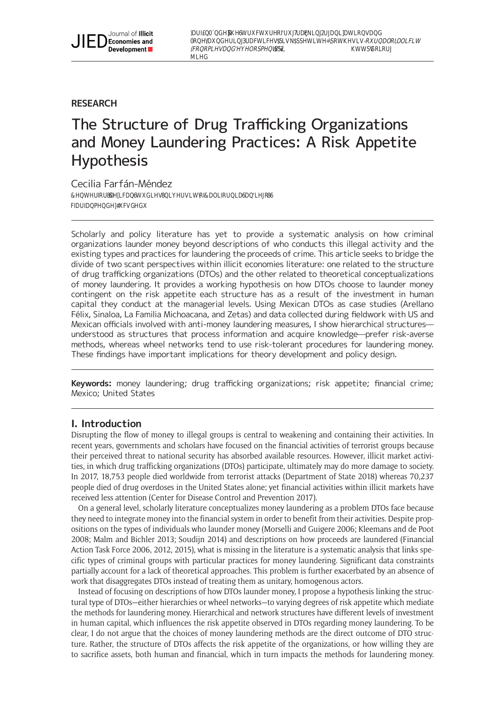Farfán-Méndez, C. 2019. The Structure of Drug Trafficking Organizations and Money Laundering Practices: A Risk Appetite Hypothesis. Journal of Illicit Economies and Development, 1(3): pp. 294–311. DOI: [https://doi.org/10.31389/](https://doi.org/10.31389/jied.1) [jied.1](https://doi.org/10.31389/jied.1)

# **RESEARCH**

# The Structure of Drug Trafficking Organizations and Money Laundering Practices: A Risk Appetite **Hypothesis**

# Cecilia Farfán-Méndez

Center for U.S.-Mexican Studies, University of California San Diego, US [cfarfanmendez@ucsd.edu](mailto:cfarfanmendez@ucsd.edu)

Scholarly and policy literature has yet to provide a systematic analysis on how criminal organizations launder money beyond descriptions of who conducts this illegal activity and the existing types and practices for laundering the proceeds of crime. This article seeks to bridge the divide of two scant perspectives within illicit economies literature: one related to the structure of drug trafficking organizations (DTOs) and the other related to theoretical conceptualizations of money laundering. It provides a working hypothesis on how DTOs choose to launder money contingent on the risk appetite each structure has as a result of the investment in human capital they conduct at the managerial levels. Using Mexican DTOs as case studies (Arellano Félix, Sinaloa, La Familia Michoacana, and Zetas) and data collected during fieldwork with US and Mexican officials involved with anti-money laundering measures, I show hierarchical structures understood as structures that process information and acquire knowledge—prefer risk-averse methods, whereas wheel networks tend to use risk-tolerant procedures for laundering money. These findings have important implications for theory development and policy design.

**Keywords:** money laundering; drug trafficking organizations; risk appetite; financial crime; Mexico; United States

# **I. Introduction**

Disrupting the flow of money to illegal groups is central to weakening and containing their activities. In recent years, governments and scholars have focused on the financial activities of terrorist groups because their perceived threat to national security has absorbed available resources. However, illicit market activities, in which drug trafficking organizations (DTOs) participate, ultimately may do more damage to society. In 2017, 18,753 people died worldwide from terrorist attacks (Department of State 2018) whereas 70,237 people died of drug overdoses in the United States alone; yet financial activities within illicit markets have received less attention (Center for Disease Control and Prevention 2017).

On a general level, scholarly literature conceptualizes money laundering as a problem DTOs face because they need to integrate money into the financial system in order to benefit from their activities. Despite propositions on the types of individuals who launder money (Morselli and Guigere 2006; Kleemans and de Poot 2008; Malm and Bichler 2013; Soudijn 2014) and descriptions on how proceeds are laundered (Financial Action Task Force 2006, 2012, 2015), what is missing in the literature is a systematic analysis that links specific types of criminal groups with particular practices for money laundering. Significant data constraints partially account for a lack of theoretical approaches. This problem is further exacerbated by an absence of work that disaggregates DTOs instead of treating them as unitary, homogenous actors.

Instead of focusing on descriptions of how DTOs launder money, I propose a hypothesis linking the structural type of DTOs—either hierarchies or wheel networks—to varying degrees of risk appetite which mediate the methods for laundering money. Hierarchical and network structures have different levels of investment in human capital, which influences the risk appetite observed in DTOs regarding money laundering. To be clear, I do not argue that the choices of money laundering methods are the direct outcome of DTO structure. Rather, the structure of DTOs affects the risk appetite of the organizations, or how willing they are to sacrifice assets, both human and financial, which in turn impacts the methods for laundering money.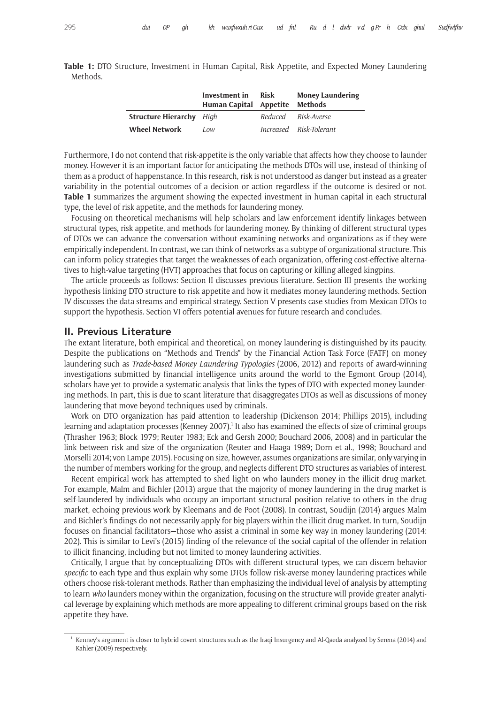|          |  | Table 1: DTO Structure, Investment in Human Capital, Risk Appetite, and Expected Money Laundering |  |  |  |  |  |
|----------|--|---------------------------------------------------------------------------------------------------|--|--|--|--|--|
| Methods. |  |                                                                                                   |  |  |  |  |  |

|                                 | Investment in<br>Human Capital Appetite Methods | <b>Risk</b> | <b>Money Laundering</b> |
|---------------------------------|-------------------------------------------------|-------------|-------------------------|
| <b>Structure Hierarchy</b> High |                                                 |             | Reduced Risk-Averse     |
| <b>Wheel Network</b>            | Low                                             |             | Increased Risk-Tolerant |

Furthermore, I do not contend that risk-appetite is the only variable that affects how they choose to launder money. However it is an important factor for anticipating the methods DTOs will use, instead of thinking of them as a product of happenstance. In this research, risk is not understood as danger but instead as a greater variability in the potential outcomes of a decision or action regardless if the outcome is desired or not. **Table 1** summarizes the argument showing the expected investment in human capital in each structural type, the level of risk appetite, and the methods for laundering money.

Focusing on theoretical mechanisms will help scholars and law enforcement identify linkages between structural types, risk appetite, and methods for laundering money. By thinking of different structural types of DTOs we can advance the conversation without examining networks and organizations as if they were empirically independent. In contrast, we can think of networks as a subtype of organizational structure. This can inform policy strategies that target the weaknesses of each organization, offering cost-effective alternatives to high-value targeting (HVT) approaches that focus on capturing or killing alleged kingpins.

The article proceeds as follows: Section II discusses previous literature. Section III presents the working hypothesis linking DTO structure to risk appetite and how it mediates money laundering methods. Section IV discusses the data streams and empirical strategy. Section V presents case studies from Mexican DTOs to support the hypothesis. Section VI offers potential avenues for future research and concludes.

### **II. Previous Literature**

The extant literature, both empirical and theoretical, on money laundering is distinguished by its paucity. Despite the publications on "Methods and Trends" by the Financial Action Task Force (FATF) on money laundering such as *Trade-based Money Laundering Typologies* (2006, 2012) and reports of award-winning investigations submitted by financial intelligence units around the world to the Egmont Group (2014), scholars have yet to provide a systematic analysis that links the types of DTO with expected money laundering methods. In part, this is due to scant literature that disaggregates DTOs as well as discussions of money laundering that move beyond techniques used by criminals.

Work on DTO organization has paid attention to leadership (Dickenson 2014; Phillips 2015), including learning and adaptation processes (Kenney 2007).<sup>1</sup> It also has examined the effects of size of criminal groups (Thrasher 1963; Block 1979; Reuter 1983; Eck and Gersh 2000; Bouchard 2006, 2008) and in particular the link between risk and size of the organization (Reuter and Haaga 1989; Dorn et al., 1998; Bouchard and Morselli 2014; von Lampe 2015). Focusing on size, however, assumes organizations are similar, only varying in the number of members working for the group, and neglects different DTO structures as variables of interest.

Recent empirical work has attempted to shed light on who launders money in the illicit drug market. For example, Malm and Bichler (2013) argue that the majority of money laundering in the drug market is self-laundered by individuals who occupy an important structural position relative to others in the drug market, echoing previous work by Kleemans and de Poot (2008). In contrast, Soudijn (2014) argues Malm and Bichler's findings do not necessarily apply for big players within the illicit drug market. In turn, Soudijn focuses on financial facilitators—those who assist a criminal in some key way in money laundering (2014: 202). This is similar to Levi's (2015) finding of the relevance of the social capital of the offender in relation to illicit financing, including but not limited to money laundering activities.

Critically, I argue that by conceptualizing DTOs with different structural types, we can discern behavior *specific* to each type and thus explain why some DTOs follow risk-averse money laundering practices while others choose risk-tolerant methods. Rather than emphasizing the individual level of analysis by attempting to learn *who* launders money within the organization, focusing on the structure will provide greater analytical leverage by explaining which methods are more appealing to different criminal groups based on the risk appetite they have.

<sup>1</sup> Kenney's argument is closer to hybrid covert structures such as the Iraqi Insurgency and Al-Qaeda analyzed by Serena (2014) and Kahler (2009) respectively.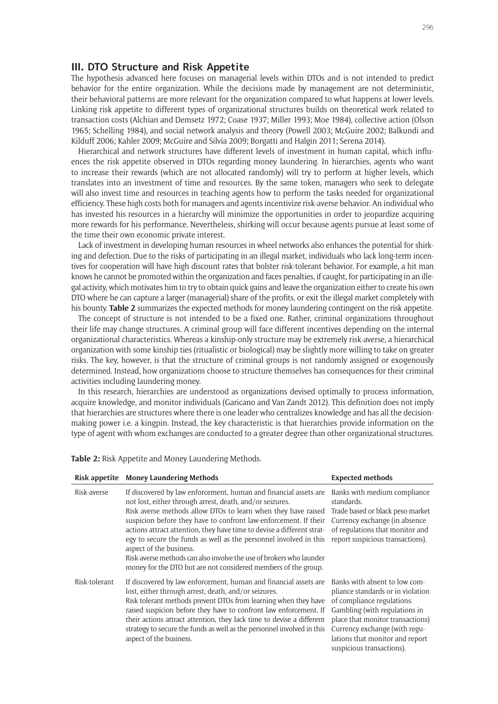#### **III. DTO Structure and Risk Appetite**

The hypothesis advanced here focuses on managerial levels within DTOs and is not intended to predict behavior for the entire organization. While the decisions made by management are not deterministic, their behavioral patterns are more relevant for the organization compared to what happens at lower levels. Linking risk appetite to different types of organizational structures builds on theoretical work related to transaction costs (Alchian and Demsetz 1972; Coase 1937; Miller 1993; Moe 1984), collective action (Olson 1965; Schelling 1984), and social network analysis and theory (Powell 2003; McGuire 2002; Balkundi and Kilduff 2006; Kahler 2009; McGuire and Silvia 2009; Borgatti and Halgin 2011; Serena 2014).

Hierarchical and network structures have different levels of investment in human capital, which influences the risk appetite observed in DTOs regarding money laundering. In hierarchies, agents who want to increase their rewards (which are not allocated randomly) will try to perform at higher levels, which translates into an investment of time and resources. By the same token, managers who seek to delegate will also invest time and resources in teaching agents how to perform the tasks needed for organizational efficiency. These high costs both for managers and agents incentivize risk-averse behavior. An individual who has invested his resources in a hierarchy will minimize the opportunities in order to jeopardize acquiring more rewards for his performance. Nevertheless, shirking will occur because agents pursue at least some of the time their own economic private interest.

Lack of investment in developing human resources in wheel networks also enhances the potential for shirking and defection. Due to the risks of participating in an illegal market, individuals who lack long-term incentives for cooperation will have high discount rates that bolster risk-tolerant behavior. For example, a hit man knows he cannot be promoted within the organization and faces penalties, if caught, for participating in an illegal activity, which motivates him to try to obtain quick gains and leave the organization either to create his own DTO where he can capture a larger (managerial) share of the profits, or exit the illegal market completely with his bounty. **Table 2** summarizes the expected methods for money laundering contingent on the risk appetite.

The concept of structure is not intended to be a fixed one. Rather, criminal organizations throughout their life may change structures. A criminal group will face different incentives depending on the internal organizational characteristics. Whereas a kinship-only structure may be extremely risk-averse, a hierarchical organization with some kinship ties (ritualistic or biological) may be slightly more willing to take on greater risks. The key, however, is that the structure of criminal groups is not randomly assigned or exogenously determined. Instead, how organizations choose to structure themselves has consequences for their criminal activities including laundering money.

In this research, hierarchies are understood as organizations devised optimally to process information, acquire knowledge, and monitor individuals (Garicano and Van Zandt 2012). This definition does not imply that hierarchies are structures where there is one leader who centralizes knowledge and has all the decisionmaking power i.e. a kingpin. Instead, the key characteristic is that hierarchies provide information on the type of agent with whom exchanges are conducted to a greater degree than other organizational structures.

**Table 2:** Risk Appetite and Money Laundering Methods.

|               | Risk appetite Money Laundering Methods                                                                                                                                                                                                                                                                                                                                                                                                                                                                                                                                               | <b>Expected methods</b>                                                                                                                                                                                                                                                |
|---------------|--------------------------------------------------------------------------------------------------------------------------------------------------------------------------------------------------------------------------------------------------------------------------------------------------------------------------------------------------------------------------------------------------------------------------------------------------------------------------------------------------------------------------------------------------------------------------------------|------------------------------------------------------------------------------------------------------------------------------------------------------------------------------------------------------------------------------------------------------------------------|
| Risk-averse   | If discovered by law enforcement, human and financial assets are<br>not lost, either through arrest, death, and/or seizures.<br>Risk averse methods allow DTOs to learn when they have raised<br>suspicion before they have to confront law-enforcement. If their<br>actions attract attention, they have time to devise a different strat-<br>egy to secure the funds as well as the personnel involved in this<br>aspect of the business.<br>Risk-averse methods can also involve the use of brokers who launder<br>money for the DTO but are not considered members of the group. | Banks with medium compliance<br>standards.<br>Trade based or black peso market<br>Currency exchange (in absence<br>of regulations that monitor and<br>report suspicious transactions).                                                                                 |
| Risk-tolerant | If discovered by law enforcement, human and financial assets are<br>lost, either through arrest, death, and/or seizures.<br>Risk tolerant methods prevent DTOs from learning when they have<br>raised suspicion before they have to confront law enforcement. If<br>their actions attract attention, they lack time to devise a different<br>strategy to secure the funds as well as the personnel involved in this<br>aspect of the business.                                                                                                                                       | Banks with absent to low com-<br>pliance standards or in violation<br>of compliance regulations.<br>Gambling (with regulations in<br>place that monitor transactions)<br>Currency exchange (with regu-<br>lations that monitor and report<br>suspicious transactions). |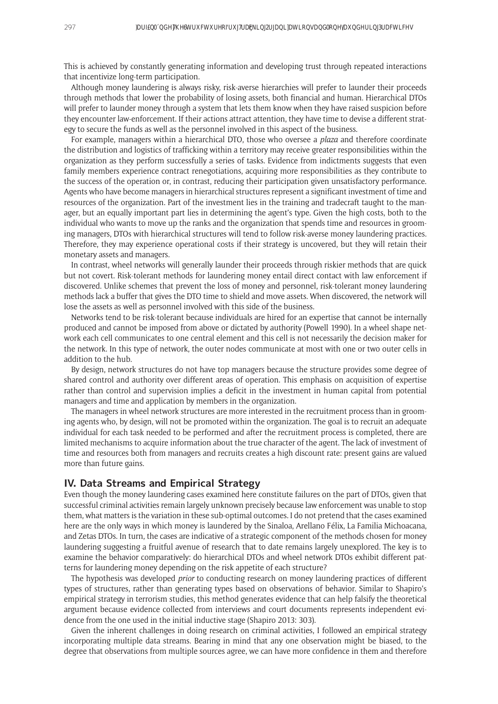This is achieved by constantly generating information and developing trust through repeated interactions that incentivize long-term participation.

Although money laundering is always risky, risk-averse hierarchies will prefer to launder their proceeds through methods that lower the probability of losing assets, both financial and human. Hierarchical DTOs will prefer to launder money through a system that lets them know when they have raised suspicion before they encounter law-enforcement. If their actions attract attention, they have time to devise a different strategy to secure the funds as well as the personnel involved in this aspect of the business.

For example, managers within a hierarchical DTO, those who oversee a *plaza* and therefore coordinate the distribution and logistics of trafficking within a territory may receive greater responsibilities within the organization as they perform successfully a series of tasks. Evidence from indictments suggests that even family members experience contract renegotiations, acquiring more responsibilities as they contribute to the success of the operation or, in contrast, reducing their participation given unsatisfactory performance. Agents who have become managers in hierarchical structures represent a significant investment of time and resources of the organization. Part of the investment lies in the training and tradecraft taught to the manager, but an equally important part lies in determining the agent's type. Given the high costs, both to the individual who wants to move up the ranks and the organization that spends time and resources in grooming managers, DTOs with hierarchical structures will tend to follow risk-averse money laundering practices. Therefore, they may experience operational costs if their strategy is uncovered, but they will retain their monetary assets and managers.

In contrast, wheel networks will generally launder their proceeds through riskier methods that are quick but not covert. Risk-tolerant methods for laundering money entail direct contact with law enforcement if discovered. Unlike schemes that prevent the loss of money and personnel, risk-tolerant money laundering methods lack a buffer that gives the DTO time to shield and move assets. When discovered, the network will lose the assets as well as personnel involved with this side of the business.

Networks tend to be risk-tolerant because individuals are hired for an expertise that cannot be internally produced and cannot be imposed from above or dictated by authority (Powell 1990). In a wheel shape network each cell communicates to one central element and this cell is not necessarily the decision maker for the network. In this type of network, the outer nodes communicate at most with one or two outer cells in addition to the hub.

By design, network structures do not have top managers because the structure provides some degree of shared control and authority over different areas of operation. This emphasis on acquisition of expertise rather than control and supervision implies a deficit in the investment in human capital from potential managers and time and application by members in the organization.

The managers in wheel network structures are more interested in the recruitment process than in grooming agents who, by design, will not be promoted within the organization. The goal is to recruit an adequate individual for each task needed to be performed and after the recruitment process is completed, there are limited mechanisms to acquire information about the true character of the agent. The lack of investment of time and resources both from managers and recruits creates a high discount rate: present gains are valued more than future gains.

# **IV. Data Streams and Empirical Strategy**

Even though the money laundering cases examined here constitute failures on the part of DTOs, given that successful criminal activities remain largely unknown precisely because law enforcement was unable to stop them, what matters is the variation in these sub-optimal outcomes. I do not pretend that the cases examined here are the only ways in which money is laundered by the Sinaloa, Arellano Félix, La Familia Michoacana, and Zetas DTOs. In turn, the cases are indicative of a strategic component of the methods chosen for money laundering suggesting a fruitful avenue of research that to date remains largely unexplored. The key is to examine the behavior comparatively: do hierarchical DTOs and wheel network DTOs exhibit different patterns for laundering money depending on the risk appetite of each structure?

The hypothesis was developed *prior* to conducting research on money laundering practices of different types of structures, rather than generating types based on observations of behavior. Similar to Shapiro's empirical strategy in terrorism studies, this method generates evidence that can help falsify the theoretical argument because evidence collected from interviews and court documents represents independent evidence from the one used in the initial inductive stage (Shapiro 2013: 303).

Given the inherent challenges in doing research on criminal activities, I followed an empirical strategy incorporating multiple data streams. Bearing in mind that any one observation might be biased, to the degree that observations from multiple sources agree, we can have more confidence in them and therefore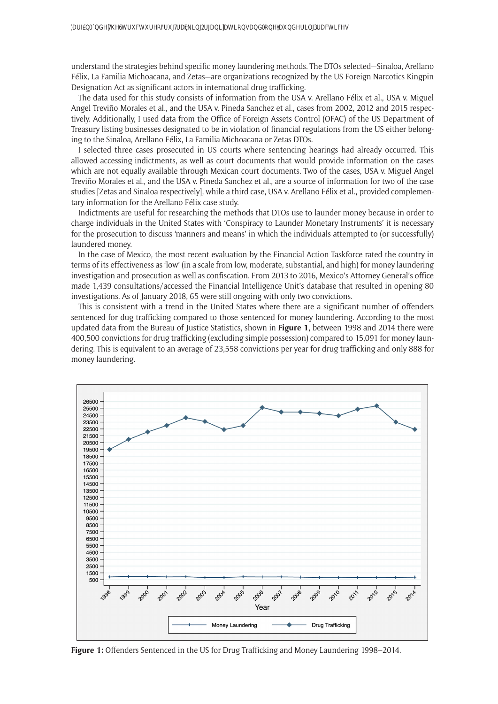understand the strategies behind specific money laundering methods. The DTOs selected—Sinaloa, Arellano Félix, La Familia Michoacana, and Zetas—are organizations recognized by the US Foreign Narcotics Kingpin Designation Act as significant actors in international drug trafficking.

The data used for this study consists of information from the USA v. Arellano Félix et al., USA v. Miguel Angel Treviño Morales et al., and the USA v. Pineda Sanchez et al., cases from 2002, 2012 and 2015 respectively. Additionally, I used data from the Office of Foreign Assets Control (OFAC) of the US Department of Treasury listing businesses designated to be in violation of financial regulations from the US either belonging to the Sinaloa, Arellano Félix, La Familia Michoacana or Zetas DTOs.

I selected three cases prosecuted in US courts where sentencing hearings had already occurred. This allowed accessing indictments, as well as court documents that would provide information on the cases which are not equally available through Mexican court documents. Two of the cases, USA v. Miguel Angel Treviño Morales et al., and the USA v. Pineda Sanchez et al., are a source of information for two of the case studies [Zetas and Sinaloa respectively], while a third case, USA v. Arellano Félix et al., provided complementary information for the Arellano Félix case study.

Indictments are useful for researching the methods that DTOs use to launder money because in order to charge individuals in the United States with 'Conspiracy to Launder Monetary Instruments' it is necessary for the prosecution to discuss 'manners and means' in which the individuals attempted to (or successfully) laundered money.

In the case of Mexico, the most recent evaluation by the Financial Action Taskforce rated the country in terms of its effectiveness as 'low' (in a scale from low, moderate, substantial, and high) for money laundering investigation and prosecution as well as confiscation. From 2013 to 2016, Mexico's Attorney General's office made 1,439 consultations/accessed the Financial Intelligence Unit's database that resulted in opening 80 investigations. As of January 2018, 65 were still ongoing with only two convictions.

This is consistent with a trend in the United States where there are a significant number of offenders sentenced for dug trafficking compared to those sentenced for money laundering. According to the most updated data from the Bureau of Justice Statistics, shown in **Figure 1**, between 1998 and 2014 there were 400,500 convictions for drug trafficking (excluding simple possession) compared to 15,091 for money laundering. This is equivalent to an average of 23,558 convictions per year for drug trafficking and only 888 for money laundering.



**Figure 1:** Offenders Sentenced in the US for Drug Trafficking and Money Laundering 1998–2014.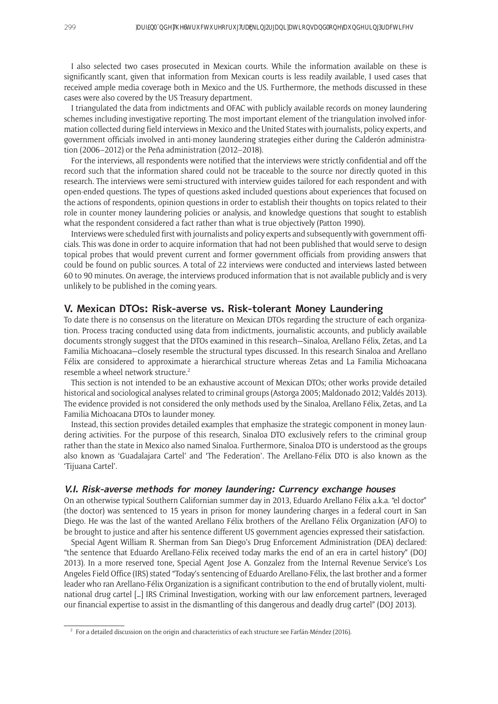I also selected two cases prosecuted in Mexican courts. While the information available on these is significantly scant, given that information from Mexican courts is less readily available, I used cases that received ample media coverage both in Mexico and the US. Furthermore, the methods discussed in these cases were also covered by the US Treasury department.

I triangulated the data from indictments and OFAC with publicly available records on money laundering schemes including investigative reporting. The most important element of the triangulation involved information collected during field interviews in Mexico and the United States with journalists, policy experts, and government officials involved in anti-money laundering strategies either during the Calderón administration (2006–2012) or the Peña administration (2012–2018).

For the interviews, all respondents were notified that the interviews were strictly confidential and off the record such that the information shared could not be traceable to the source nor directly quoted in this research. The interviews were semi-structured with interview guides tailored for each respondent and with open-ended questions. The types of questions asked included questions about experiences that focused on the actions of respondents, opinion questions in order to establish their thoughts on topics related to their role in counter money laundering policies or analysis, and knowledge questions that sought to establish what the respondent considered a fact rather than what is true objectively (Patton 1990).

Interviews were scheduled first with journalists and policy experts and subsequently with government officials. This was done in order to acquire information that had not been published that would serve to design topical probes that would prevent current and former government officials from providing answers that could be found on public sources. A total of 22 interviews were conducted and interviews lasted between 60 to 90 minutes. On average, the interviews produced information that is not available publicly and is very unlikely to be published in the coming years.

## **V. Mexican DTOs: Risk-averse vs. Risk-tolerant Money Laundering**

To date there is no consensus on the literature on Mexican DTOs regarding the structure of each organization. Process tracing conducted using data from indictments, journalistic accounts, and publicly available documents strongly suggest that the DTOs examined in this research—Sinaloa, Arellano Félix, Zetas, and La Familia Michoacana—closely resemble the structural types discussed. In this research Sinaloa and Arellano Félix are considered to approximate a hierarchical structure whereas Zetas and La Familia Michoacana resemble a wheel network structure.<sup>2</sup>

This section is not intended to be an exhaustive account of Mexican DTOs; other works provide detailed historical and sociological analyses related to criminal groups (Astorga 2005; Maldonado 2012; Valdés 2013). The evidence provided is not considered the only methods used by the Sinaloa, Arellano Félix, Zetas, and La Familia Michoacana DTOs to launder money.

Instead, this section provides detailed examples that emphasize the strategic component in money laundering activities. For the purpose of this research, Sinaloa DTO exclusively refers to the criminal group rather than the state in Mexico also named Sinaloa. Furthermore, Sinaloa DTO is understood as the groups also known as 'Guadalajara Cartel' and 'The Federation'. The Arellano-Félix DTO is also known as the 'Tijuana Cartel'.

#### **V.I. Risk-averse methods for money laundering: Currency exchange houses**

On an otherwise typical Southern Californian summer day in 2013, Eduardo Arellano Félix a.k.a. "el doctor" (the doctor) was sentenced to 15 years in prison for money laundering charges in a federal court in San Diego. He was the last of the wanted Arellano Félix brothers of the Arellano Félix Organization (AFO) to be brought to justice and after his sentence different US government agencies expressed their satisfaction.

Special Agent William R. Sherman from San Diego's Drug Enforcement Administration (DEA) declared: "the sentence that Eduardo Arellano-Félix received today marks the end of an era in cartel history" (DOJ 2013). In a more reserved tone, Special Agent Jose A. Gonzalez from the Internal Revenue Service's Los Angeles Field Office (IRS) stated "Today's sentencing of Eduardo Arellano-Félix, the last brother and a former leader who ran Arellano-Félix Organization is a significant contribution to the end of brutally violent, multinational drug cartel […] IRS Criminal Investigation, working with our law enforcement partners, leveraged our financial expertise to assist in the dismantling of this dangerous and deadly drug cartel" (DOJ 2013).

 $2 \cdot$  For a detailed discussion on the origin and characteristics of each structure see Farfán-Méndez (2016).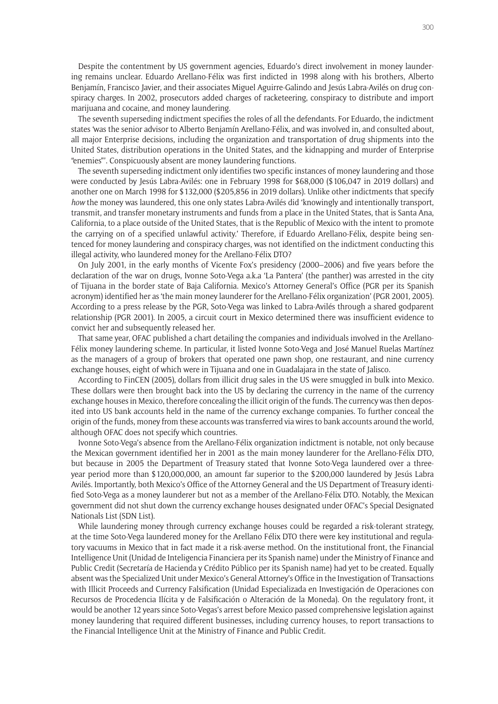Despite the contentment by US government agencies, Eduardo's direct involvement in money laundering remains unclear. Eduardo Arellano-Félix was first indicted in 1998 along with his brothers, Alberto Benjamín, Francisco Javier, and their associates Miguel Aguirre-Galindo and Jesús Labra-Avilés on drug conspiracy charges. In 2002, prosecutors added charges of racketeering, conspiracy to distribute and import marijuana and cocaine, and money laundering.

The seventh superseding indictment specifies the roles of all the defendants. For Eduardo, the indictment states 'was the senior advisor to Alberto Benjamín Arellano-Félix, and was involved in, and consulted about, all major Enterprise decisions, including the organization and transportation of drug shipments into the United States, distribution operations in the United States, and the kidnapping and murder of Enterprise "enemies"'. Conspicuously absent are money laundering functions.

The seventh superseding indictment only identifies two specific instances of money laundering and those were conducted by Jesús Labra-Avilés: one in February 1998 for \$68,000 (\$106,047 in 2019 dollars) and another one on March 1998 for \$132,000 (\$205,856 in 2019 dollars). Unlike other indictments that specify *how* the money was laundered, this one only states Labra-Avilés did 'knowingly and intentionally transport, transmit, and transfer monetary instruments and funds from a place in the United States, that is Santa Ana, California, to a place outside of the United States, that is the Republic of Mexico with the intent to promote the carrying on of a specified unlawful activity.' Therefore, if Eduardo Arellano-Félix, despite being sentenced for money laundering and conspiracy charges, was not identified on the indictment conducting this illegal activity, who laundered money for the Arellano-Félix DTO?

On July 2001, in the early months of Vicente Fox's presidency (2000–2006) and five years before the declaration of the war on drugs, Ivonne Soto-Vega a.k.a 'La Pantera' (the panther) was arrested in the city of Tijuana in the border state of Baja California. Mexico's Attorney General's Office (PGR per its Spanish acronym) identified her as 'the main money launderer for the Arellano-Félix organization' (PGR 2001, 2005). According to a press release by the PGR, Soto-Vega was linked to Labra-Avilés through a shared godparent relationship (PGR 2001). In 2005, a circuit court in Mexico determined there was insufficient evidence to convict her and subsequently released her.

That same year, OFAC published a chart detailing the companies and individuals involved in the Arellano-Félix money laundering scheme. In particular, it listed Ivonne Soto-Vega and José Manuel Ruelas Martínez as the managers of a group of brokers that operated one pawn shop, one restaurant, and nine currency exchange houses, eight of which were in Tijuana and one in Guadalajara in the state of Jalisco.

According to FinCEN (2005), dollars from illicit drug sales in the US were smuggled in bulk into Mexico. These dollars were then brought back into the US by declaring the currency in the name of the currency exchange houses in Mexico, therefore concealing the illicit origin of the funds. The currency was then deposited into US bank accounts held in the name of the currency exchange companies. To further conceal the origin of the funds, money from these accounts was transferred via wires to bank accounts around the world, although OFAC does not specify which countries.

Ivonne Soto-Vega's absence from the Arellano-Félix organization indictment is notable, not only because the Mexican government identified her in 2001 as the main money launderer for the Arellano-Félix DTO, but because in 2005 the Department of Treasury stated that Ivonne Soto-Vega laundered over a threeyear period more than \$120,000,000, an amount far superior to the \$200,000 laundered by Jesús Labra Avilés. Importantly, both Mexico's Office of the Attorney General and the US Department of Treasury identified Soto-Vega as a money launderer but not as a member of the Arellano-Félix DTO. Notably, the Mexican government did not shut down the currency exchange houses designated under OFAC's Special Designated Nationals List (SDN List).

While laundering money through currency exchange houses could be regarded a risk-tolerant strategy, at the time Soto-Vega laundered money for the Arellano Félix DTO there were key institutional and regulatory vacuums in Mexico that in fact made it a risk-averse method. On the institutional front, the Financial Intelligence Unit (Unidad de Inteligencia Financiera per its Spanish name) under the Ministry of Finance and Public Credit (Secretaría de Hacienda y Crédito Público per its Spanish name) had yet to be created. Equally absent was the Specialized Unit under Mexico's General Attorney's Office in the Investigation of Transactions with Illicit Proceeds and Currency Falsification (Unidad Especializada en Investigación de Operaciones con Recursos de Procedencia Ilícita y de Falsificación o Alteración de la Moneda). On the regulatory front, it would be another 12 years since Soto-Vegas's arrest before Mexico passed comprehensive legislation against money laundering that required different businesses, including currency houses, to report transactions to the Financial Intelligence Unit at the Ministry of Finance and Public Credit.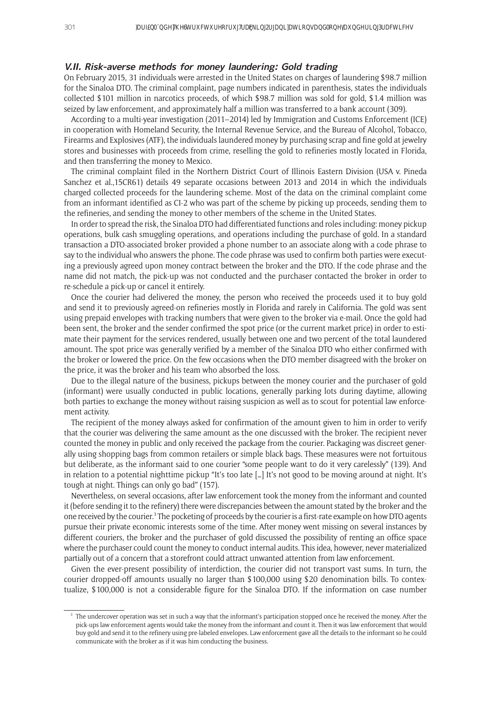#### **V.II. Risk-averse methods for money laundering: Gold trading**

On February 2015, 31 individuals were arrested in the United States on charges of laundering \$98.7 million for the Sinaloa DTO. The criminal complaint, page numbers indicated in parenthesis, states the individuals collected \$101 million in narcotics proceeds, of which \$98.7 million was sold for gold, \$1.4 million was seized by law enforcement, and approximately half a million was transferred to a bank account (309).

According to a multi-year investigation (2011–2014) led by Immigration and Customs Enforcement (ICE) in cooperation with Homeland Security, the Internal Revenue Service, and the Bureau of Alcohol, Tobacco, Firearms and Explosives (ATF), the individuals laundered money by purchasing scrap and fine gold at jewelry stores and businesses with proceeds from crime, reselling the gold to refineries mostly located in Florida, and then transferring the money to Mexico.

The criminal complaint filed in the Northern District Court of Illinois Eastern Division (USA v. Pineda Sanchez et al.,15CR61) details 49 separate occasions between 2013 and 2014 in which the individuals charged collected proceeds for the laundering scheme. Most of the data on the criminal complaint come from an informant identified as CI-2 who was part of the scheme by picking up proceeds, sending them to the refineries, and sending the money to other members of the scheme in the United States.

In order to spread the risk, the Sinaloa DTO had differentiated functions and roles including: money pickup operations, bulk cash smuggling operations, and operations including the purchase of gold. In a standard transaction a DTO-associated broker provided a phone number to an associate along with a code phrase to say to the individual who answers the phone. The code phrase was used to confirm both parties were executing a previously agreed upon money contract between the broker and the DTO. If the code phrase and the name did not match, the pick-up was not conducted and the purchaser contacted the broker in order to re-schedule a pick-up or cancel it entirely.

Once the courier had delivered the money, the person who received the proceeds used it to buy gold and send it to previously agreed-on refineries mostly in Florida and rarely in California. The gold was sent using prepaid envelopes with tracking numbers that were given to the broker via e-mail. Once the gold had been sent, the broker and the sender confirmed the spot price (or the current market price) in order to estimate their payment for the services rendered, usually between one and two percent of the total laundered amount. The spot price was generally verified by a member of the Sinaloa DTO who either confirmed with the broker or lowered the price. On the few occasions when the DTO member disagreed with the broker on the price, it was the broker and his team who absorbed the loss.

Due to the illegal nature of the business, pickups between the money courier and the purchaser of gold (informant) were usually conducted in public locations, generally parking lots during daytime, allowing both parties to exchange the money without raising suspicion as well as to scout for potential law enforcement activity.

The recipient of the money always asked for confirmation of the amount given to him in order to verify that the courier was delivering the same amount as the one discussed with the broker. The recipient never counted the money in public and only received the package from the courier. Packaging was discreet generally using shopping bags from common retailers or simple black bags. These measures were not fortuitous but deliberate, as the informant said to one courier "some people want to do it very carelessly" (139). And in relation to a potential nighttime pickup "It's too late […] It's not good to be moving around at night. It's tough at night. Things can only go bad" (157).

Nevertheless, on several occasions, after law enforcement took the money from the informant and counted it (before sending it to the refinery) there were discrepancies between the amount stated by the broker and the one received by the courier.<sup>3</sup> The pocketing of proceeds by the courier is a first-rate example on how DTO agents pursue their private economic interests some of the time. After money went missing on several instances by different couriers, the broker and the purchaser of gold discussed the possibility of renting an office space where the purchaser could count the money to conduct internal audits. This idea, however, never materialized partially out of a concern that a storefront could attract unwanted attention from law enforcement.

Given the ever-present possibility of interdiction, the courier did not transport vast sums. In turn, the courier dropped-off amounts usually no larger than \$100,000 using \$20 denomination bills. To contextualize, \$100,000 is not a considerable figure for the Sinaloa DTO. If the information on case number

<sup>&</sup>lt;sup>3</sup> The undercover operation was set in such a way that the informant's participation stopped once he received the money. After the pick-ups law enforcement agents would take the money from the informant and count it. Then it was law enforcement that would buy gold and send it to the refinery using pre-labeled envelopes. Law enforcement gave all the details to the informant so he could communicate with the broker as if it was him conducting the business.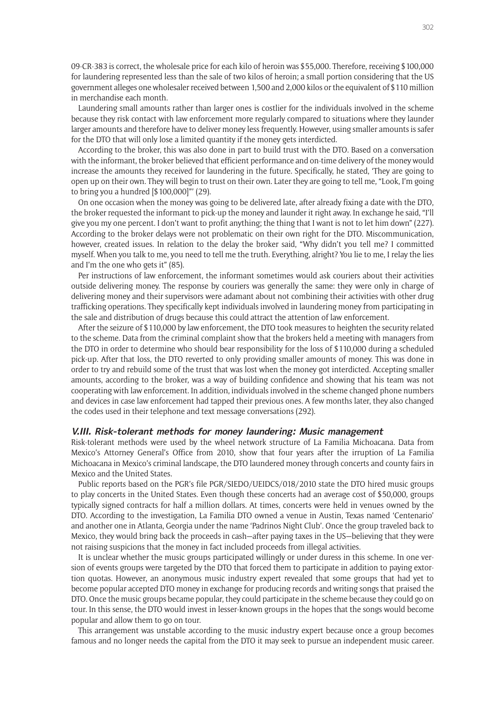09-CR-383 is correct, the wholesale price for each kilo of heroin was \$55,000. Therefore, receiving \$100,000 for laundering represented less than the sale of two kilos of heroin; a small portion considering that the US government alleges one wholesaler received between 1,500 and 2,000 kilos or the equivalent of \$110 million in merchandise each month.

Laundering small amounts rather than larger ones is costlier for the individuals involved in the scheme because they risk contact with law enforcement more regularly compared to situations where they launder larger amounts and therefore have to deliver money less frequently. However, using smaller amounts is safer for the DTO that will only lose a limited quantity if the money gets interdicted.

According to the broker, this was also done in part to build trust with the DTO. Based on a conversation with the informant, the broker believed that efficient performance and on-time delivery of the money would increase the amounts they received for laundering in the future. Specifically, he stated, 'They are going to open up on their own. They will begin to trust on their own. Later they are going to tell me, "Look, I'm going to bring you a hundred [\$100,000]"' (29).

On one occasion when the money was going to be delivered late, after already fixing a date with the DTO, the broker requested the informant to pick-up the money and launder it right away. In exchange he said, "I'll give you my one percent. I don't want to profit anything; the thing that I want is not to let him down" (227). According to the broker delays were not problematic on their own right for the DTO. Miscommunication, however, created issues. In relation to the delay the broker said, "Why didn't you tell me? I committed myself. When you talk to me, you need to tell me the truth. Everything, alright? You lie to me, I relay the lies and I'm the one who gets it" (85).

Per instructions of law enforcement, the informant sometimes would ask couriers about their activities outside delivering money. The response by couriers was generally the same: they were only in charge of delivering money and their supervisors were adamant about not combining their activities with other drug trafficking operations. They specifically kept individuals involved in laundering money from participating in the sale and distribution of drugs because this could attract the attention of law enforcement.

After the seizure of \$110,000 by law enforcement, the DTO took measures to heighten the security related to the scheme. Data from the criminal complaint show that the brokers held a meeting with managers from the DTO in order to determine who should bear responsibility for the loss of \$110,000 during a scheduled pick-up. After that loss, the DTO reverted to only providing smaller amounts of money. This was done in order to try and rebuild some of the trust that was lost when the money got interdicted. Accepting smaller amounts, according to the broker, was a way of building confidence and showing that his team was not cooperating with law enforcement. In addition, individuals involved in the scheme changed phone numbers and devices in case law enforcement had tapped their previous ones. A few months later, they also changed the codes used in their telephone and text message conversations (292).

#### **V.III. Risk-tolerant methods for money laundering: Music management**

Risk-tolerant methods were used by the wheel network structure of La Familia Michoacana. Data from Mexico's Attorney General's Office from 2010, show that four years after the irruption of La Familia Michoacana in Mexico's criminal landscape, the DTO laundered money through concerts and county fairs in Mexico and the United States.

Public reports based on the PGR's file PGR/SIEDO/UEIDCS/018/2010 state the DTO hired music groups to play concerts in the United States. Even though these concerts had an average cost of \$50,000, groups typically signed contracts for half a million dollars. At times, concerts were held in venues owned by the DTO. According to the investigation, La Familia DTO owned a venue in Austin, Texas named 'Centenario' and another one in Atlanta, Georgia under the name 'Padrinos Night Club'. Once the group traveled back to Mexico, they would bring back the proceeds in cash—after paying taxes in the US—believing that they were not raising suspicions that the money in fact included proceeds from illegal activities.

It is unclear whether the music groups participated willingly or under duress in this scheme. In one version of events groups were targeted by the DTO that forced them to participate in addition to paying extortion quotas. However, an anonymous music industry expert revealed that some groups that had yet to become popular accepted DTO money in exchange for producing records and writing songs that praised the DTO. Once the music groups became popular, they could participate in the scheme because they could go on tour. In this sense, the DTO would invest in lesser-known groups in the hopes that the songs would become popular and allow them to go on tour.

This arrangement was unstable according to the music industry expert because once a group becomes famous and no longer needs the capital from the DTO it may seek to pursue an independent music career.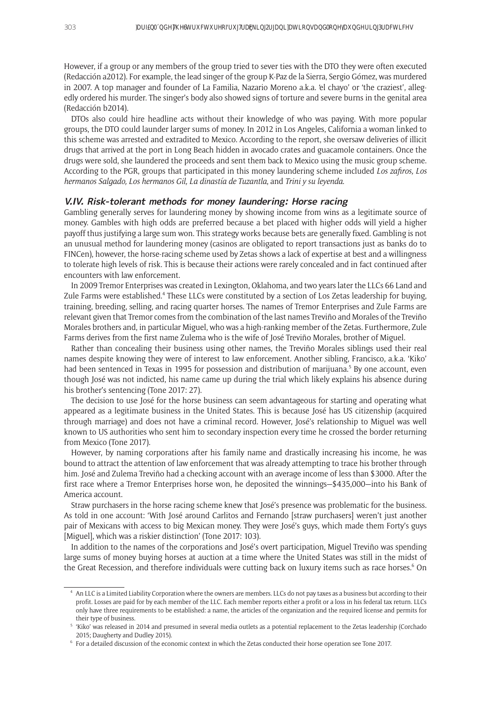However, if a group or any members of the group tried to sever ties with the DTO they were often executed (Redacción a2012). For example, the lead singer of the group K-Paz de la Sierra, Sergio Gómez, was murdered in 2007. A top manager and founder of La Familia, Nazario Moreno a.k.a. 'el chayo' or 'the craziest', allegedly ordered his murder. The singer's body also showed signs of torture and severe burns in the genital area (Redacción b2014).

DTOs also could hire headline acts without their knowledge of who was paying. With more popular groups, the DTO could launder larger sums of money. In 2012 in Los Angeles, California a woman linked to this scheme was arrested and extradited to Mexico. According to the report, she oversaw deliveries of illicit drugs that arrived at the port in Long Beach hidden in avocado crates and guacamole containers. Once the drugs were sold, she laundered the proceeds and sent them back to Mexico using the music group scheme. According to the PGR, groups that participated in this money laundering scheme included *Los zafiros, Los hermanos Salgado, Los hermanos Gil, La dinastía de Tuzantla*, and *Trini y su leyenda*.

#### **V.IV. Risk-tolerant methods for money laundering: Horse racing**

Gambling generally serves for laundering money by showing income from wins as a legitimate source of money. Gambles with high odds are preferred because a bet placed with higher odds will yield a higher payoff thus justifying a large sum won. This strategy works because bets are generally fixed. Gambling is not an unusual method for laundering money (casinos are obligated to report transactions just as banks do to FINCen), however, the horse-racing scheme used by Zetas shows a lack of expertise at best and a willingness to tolerate high levels of risk. This is because their actions were rarely concealed and in fact continued after encounters with law enforcement.

In 2009 Tremor Enterprises was created in Lexington, Oklahoma, and two years later the LLCs 66 Land and Zule Farms were established.<sup>4</sup> These LLCs were constituted by a section of Los Zetas leadership for buying, training, breeding, selling, and racing quarter horses. The names of Tremor Enterprises and Zule Farms are relevant given that Tremor comes from the combination of the last names Treviño and Morales of the Treviño Morales brothers and, in particular Miguel, who was a high-ranking member of the Zetas. Furthermore, Zule Farms derives from the first name Zulema who is the wife of José Treviño Morales, brother of Miguel.

Rather than concealing their business using other names, the Treviño Morales siblings used their real names despite knowing they were of interest to law enforcement. Another sibling, Francisco, a.k.a. 'Kiko' had been sentenced in Texas in 1995 for possession and distribution of marijuana.<sup>5</sup> By one account, even though José was not indicted, his name came up during the trial which likely explains his absence during his brother's sentencing (Tone 2017: 27).

The decision to use José for the horse business can seem advantageous for starting and operating what appeared as a legitimate business in the United States. This is because José has US citizenship (acquired through marriage) and does not have a criminal record. However, José's relationship to Miguel was well known to US authorities who sent him to secondary inspection every time he crossed the border returning from Mexico (Tone 2017).

However, by naming corporations after his family name and drastically increasing his income, he was bound to attract the attention of law enforcement that was already attempting to trace his brother through him. José and Zulema Treviño had a checking account with an average income of less than \$3000. After the first race where a Tremor Enterprises horse won, he deposited the winnings—\$435,000—into his Bank of America account.

Straw purchasers in the horse racing scheme knew that José's presence was problematic for the business. As told in one account: 'With José around Carlitos and Fernando [straw purchasers] weren't just another pair of Mexicans with access to big Mexican money. They were José's guys, which made them Forty's guys [Miguel], which was a riskier distinction' (Tone 2017: 103).

In addition to the names of the corporations and José's overt participation, Miguel Treviño was spending large sums of money buying horses at auction at a time where the United States was still in the midst of the Great Recession, and therefore individuals were cutting back on luxury items such as race horses.<sup>6</sup> On

<sup>4</sup> An LLC is a Limited Liability Corporation where the owners are members. LLCs do not pay taxes as a business but according to their profit. Losses are paid for by each member of the LLC. Each member reports either a profit or a loss in his federal tax return. LLCs only have three requirements to be established: a name, the articles of the organization and the required license and permits for their type of business.

<sup>5</sup> 'Kiko' was released in 2014 and presumed in several media outlets as a potential replacement to the Zetas leadership (Corchado 2015; Daugherty and Dudley 2015).

<sup>6</sup> For a detailed discussion of the economic context in which the Zetas conducted their horse operation see Tone 2017.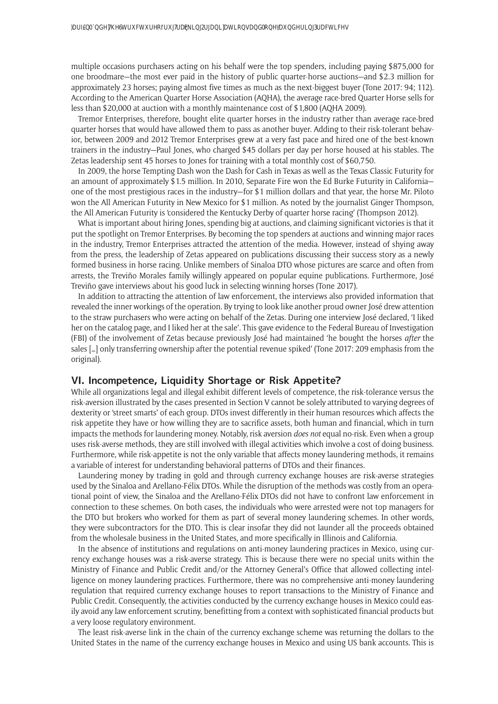multiple occasions purchasers acting on his behalf were the top spenders, including paying \$875,000 for one broodmare—the most ever paid in the history of public quarter-horse auctions—and \$2.3 million for approximately 23 horses; paying almost five times as much as the next-biggest buyer (Tone 2017: 94; 112). According to the American Quarter Horse Association (AQHA), the average race-bred Quarter Horse sells for less than \$20,000 at auction with a monthly maintenance cost of \$1,800 (AQHA 2009).

Tremor Enterprises, therefore, bought elite quarter horses in the industry rather than average race-bred quarter horses that would have allowed them to pass as another buyer. Adding to their risk-tolerant behavior, between 2009 and 2012 Tremor Enterprises grew at a very fast pace and hired one of the best-known trainers in the industry—Paul Jones, who charged \$45 dollars per day per horse housed at his stables. The Zetas leadership sent 45 horses to Jones for training with a total monthly cost of \$60,750.

In 2009, the horse Tempting Dash won the Dash for Cash in Texas as well as the Texas Classic Futurity for an amount of approximately \$1.5 million. In 2010, Separate Fire won the Ed Burke Futurity in California one of the most prestigious races in the industry—for \$1 million dollars and that year, the horse Mr. Piloto won the All American Futurity in New Mexico for \$1 million. As noted by the journalist Ginger Thompson, the All American Futurity is 'considered the Kentucky Derby of quarter horse racing' (Thompson 2012).

What is important about hiring Jones, spending big at auctions, and claiming significant victories is that it put the spotlight on Tremor Enterprises. By becoming the top spenders at auctions and winning major races in the industry, Tremor Enterprises attracted the attention of the media. However, instead of shying away from the press, the leadership of Zetas appeared on publications discussing their success story as a newly formed business in horse racing. Unlike members of Sinaloa DTO whose pictures are scarce and often from arrests, the Treviño Morales family willingly appeared on popular equine publications. Furthermore, José Treviño gave interviews about his good luck in selecting winning horses (Tone 2017).

In addition to attracting the attention of law enforcement, the interviews also provided information that revealed the inner workings of the operation. By trying to look like another proud owner José drew attention to the straw purchasers who were acting on behalf of the Zetas. During one interview José declared, 'I liked her on the catalog page, and I liked her at the sale'. This gave evidence to the Federal Bureau of Investigation (FBI) of the involvement of Zetas because previously José had maintained 'he bought the horses *after* the sales […] only transferring ownership after the potential revenue spiked' (Tone 2017: 209 emphasis from the original).

## **VI. Incompetence, Liquidity Shortage or Risk Appetite?**

While all organizations legal and illegal exhibit different levels of competence, the risk-tolerance versus the risk-aversion illustrated by the cases presented in Section V cannot be solely attributed to varying degrees of dexterity or 'street smarts' of each group. DTOs invest differently in their human resources which affects the risk appetite they have or how willing they are to sacrifice assets, both human and financial, which in turn impacts the methods for laundering money. Notably, risk aversion *does not* equal no-risk. Even when a group uses risk-averse methods, they are still involved with illegal activities which involve a cost of doing business. Furthermore, while risk-appetite is not the only variable that affects money laundering methods, it remains a variable of interest for understanding behavioral patterns of DTOs and their finances.

Laundering money by trading in gold and through currency exchange houses are risk-averse strategies used by the Sinaloa and Arellano-Félix DTOs. While the disruption of the methods was costly from an operational point of view, the Sinaloa and the Arellano-Félix DTOs did not have to confront law enforcement in connection to these schemes. On both cases, the individuals who were arrested were not top managers for the DTO but brokers who worked for them as part of several money laundering schemes. In other words, they were subcontractors for the DTO. This is clear insofar they did not launder all the proceeds obtained from the wholesale business in the United States, and more specifically in Illinois and California.

In the absence of institutions and regulations on anti-money laundering practices in Mexico, using currency exchange houses was a risk-averse strategy. This is because there were no special units within the Ministry of Finance and Public Credit and/or the Attorney General's Office that allowed collecting intelligence on money laundering practices. Furthermore, there was no comprehensive anti-money laundering regulation that required currency exchange houses to report transactions to the Ministry of Finance and Public Credit. Consequently, the activities conducted by the currency exchange houses in Mexico could easily avoid any law enforcement scrutiny, benefitting from a context with sophisticated financial products but a very loose regulatory environment.

The least risk-averse link in the chain of the currency exchange scheme was returning the dollars to the United States in the name of the currency exchange houses in Mexico and using US bank accounts. This is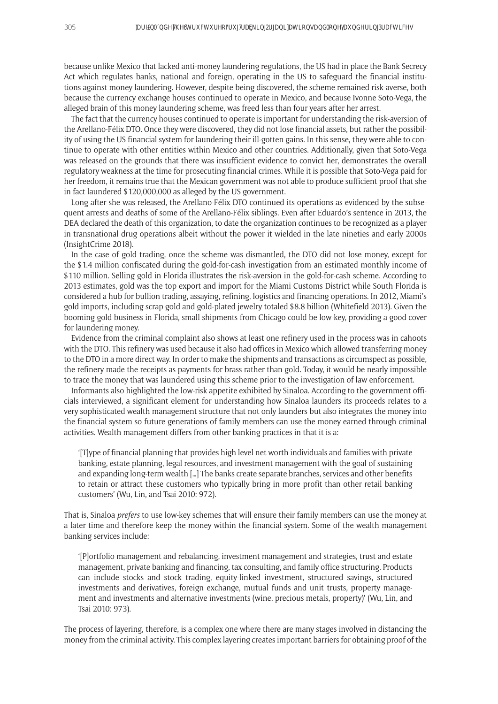because unlike Mexico that lacked anti-money laundering regulations, the US had in place the Bank Secrecy Act which regulates banks, national and foreign, operating in the US to safeguard the financial institutions against money laundering. However, despite being discovered, the scheme remained risk-averse, both because the currency exchange houses continued to operate in Mexico, and because Ivonne Soto-Vega, the alleged brain of this money laundering scheme, was freed less than four years after her arrest.

The fact that the currency houses continued to operate is important for understanding the risk-aversion of the Arellano-Félix DTO. Once they were discovered, they did not lose financial assets, but rather the possibility of using the US financial system for laundering their ill-gotten gains. In this sense, they were able to continue to operate with other entities within Mexico and other countries. Additionally, given that Soto-Vega was released on the grounds that there was insufficient evidence to convict her, demonstrates the overall regulatory weakness at the time for prosecuting financial crimes. While it is possible that Soto-Vega paid for her freedom, it remains true that the Mexican government was not able to produce sufficient proof that she in fact laundered \$120,000,000 as alleged by the US government.

Long after she was released, the Arellano-Félix DTO continued its operations as evidenced by the subsequent arrests and deaths of some of the Arellano-Félix siblings. Even after Eduardo's sentence in 2013, the DEA declared the death of this organization, to date the organization continues to be recognized as a player in transnational drug operations albeit without the power it wielded in the late nineties and early 2000s (InsightCrime 2018).

In the case of gold trading, once the scheme was dismantled, the DTO did not lose money, except for the \$1.4 million confiscated during the gold-for-cash investigation from an estimated monthly income of \$110 million. Selling gold in Florida illustrates the risk-aversion in the gold-for-cash scheme. According to 2013 estimates, gold was the top export and import for the Miami Customs District while South Florida is considered a hub for bullion trading, assaying, refining, logistics and financing operations. In 2012, Miami's gold imports, including scrap gold and gold-plated jewelry totaled \$8.8 billion (Whitefield 2013). Given the booming gold business in Florida, small shipments from Chicago could be low-key, providing a good cover for laundering money.

Evidence from the criminal complaint also shows at least one refinery used in the process was in cahoots with the DTO. This refinery was used because it also had offices in Mexico which allowed transferring money to the DTO in a more direct way. In order to make the shipments and transactions as circumspect as possible, the refinery made the receipts as payments for brass rather than gold. Today, it would be nearly impossible to trace the money that was laundered using this scheme prior to the investigation of law enforcement.

Informants also highlighted the low-risk appetite exhibited by Sinaloa. According to the government officials interviewed, a significant element for understanding how Sinaloa launders its proceeds relates to a very sophisticated wealth management structure that not only launders but also integrates the money into the financial system so future generations of family members can use the money earned through criminal activities. Wealth management differs from other banking practices in that it is a:

'[T]ype of financial planning that provides high level net worth individuals and families with private banking, estate planning, legal resources, and investment management with the goal of sustaining and expanding long-term wealth […] The banks create separate branches, services and other benefits to retain or attract these customers who typically bring in more profit than other retail banking customers' (Wu, Lin, and Tsai 2010: 972).

That is, Sinaloa *prefers* to use low-key schemes that will ensure their family members can use the money at a later time and therefore keep the money within the financial system. Some of the wealth management banking services include:

'[P]ortfolio management and rebalancing, investment management and strategies, trust and estate management, private banking and financing, tax consulting, and family office structuring. Products can include stocks and stock trading, equity-linked investment, structured savings, structured investments and derivatives, foreign exchange, mutual funds and unit trusts, property management and investments and alternative investments (wine, precious metals, property)' (Wu, Lin, and Tsai 2010: 973).

The process of layering, therefore, is a complex one where there are many stages involved in distancing the money from the criminal activity. This complex layering creates important barriers for obtaining proof of the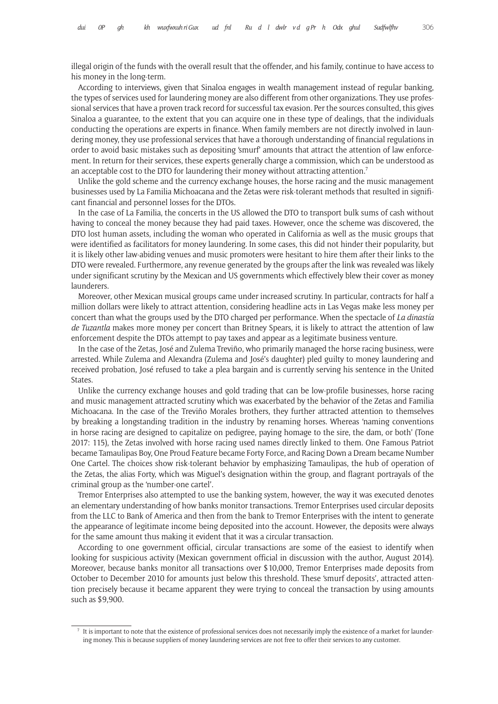illegal origin of the funds with the overall result that the offender, and his family, continue to have access to his money in the long-term.

According to interviews, given that Sinaloa engages in wealth management instead of regular banking, the types of services used for laundering money are also different from other organizations. They use professional services that have a proven track record for successful tax evasion. Per the sources consulted, this gives Sinaloa a guarantee, to the extent that you can acquire one in these type of dealings, that the individuals conducting the operations are experts in finance. When family members are not directly involved in laundering money, they use professional services that have a thorough understanding of financial regulations in order to avoid basic mistakes such as depositing 'smurf' amounts that attract the attention of law enforcement. In return for their services, these experts generally charge a commission, which can be understood as an acceptable cost to the DTO for laundering their money without attracting attention.<sup>7</sup>

Unlike the gold scheme and the currency exchange houses, the horse racing and the music management businesses used by La Familia Michoacana and the Zetas were risk-tolerant methods that resulted in significant financial and personnel losses for the DTOs.

In the case of La Familia, the concerts in the US allowed the DTO to transport bulk sums of cash without having to conceal the money because they had paid taxes. However, once the scheme was discovered, the DTO lost human assets, including the woman who operated in California as well as the music groups that were identified as facilitators for money laundering. In some cases, this did not hinder their popularity, but it is likely other law-abiding venues and music promoters were hesitant to hire them after their links to the DTO were revealed. Furthermore, any revenue generated by the groups after the link was revealed was likely under significant scrutiny by the Mexican and US governments which effectively blew their cover as money launderers.

Moreover, other Mexican musical groups came under increased scrutiny. In particular, contracts for half a million dollars were likely to attract attention, considering headline acts in Las Vegas make less money per concert than what the groups used by the DTO charged per performance. When the spectacle of *La dinastía de Tuzantla* makes more money per concert than Britney Spears, it is likely to attract the attention of law enforcement despite the DTOs attempt to pay taxes and appear as a legitimate business venture.

In the case of the Zetas, José and Zulema Treviño, who primarily managed the horse racing business, were arrested. While Zulema and Alexandra (Zulema and José's daughter) pled guilty to money laundering and received probation, José refused to take a plea bargain and is currently serving his sentence in the United States.

Unlike the currency exchange houses and gold trading that can be low-profile businesses, horse racing and music management attracted scrutiny which was exacerbated by the behavior of the Zetas and Familia Michoacana. In the case of the Treviño Morales brothers, they further attracted attention to themselves by breaking a longstanding tradition in the industry by renaming horses. Whereas 'naming conventions in horse racing are designed to capitalize on pedigree, paying homage to the sire, the dam, or both' (Tone 2017: 115), the Zetas involved with horse racing used names directly linked to them. One Famous Patriot became Tamaulipas Boy, One Proud Feature became Forty Force, and Racing Down a Dream became Number One Cartel. The choices show risk-tolerant behavior by emphasizing Tamaulipas, the hub of operation of the Zetas, the alias Forty, which was Miguel's designation within the group, and flagrant portrayals of the criminal group as the 'number-one cartel'.

Tremor Enterprises also attempted to use the banking system, however, the way it was executed denotes an elementary understanding of how banks monitor transactions. Tremor Enterprises used circular deposits from the LLC to Bank of America and then from the bank to Tremor Enterprises with the intent to generate the appearance of legitimate income being deposited into the account. However, the deposits were always for the same amount thus making it evident that it was a circular transaction.

According to one government official, circular transactions are some of the easiest to identify when looking for suspicious activity (Mexican government official in discussion with the author, August 2014). Moreover, because banks monitor all transactions over \$10,000, Tremor Enterprises made deposits from October to December 2010 for amounts just below this threshold. These 'smurf deposits', attracted attention precisely because it became apparent they were trying to conceal the transaction by using amounts such as \$9,900.

 $<sup>7</sup>$  It is important to note that the existence of professional services does not necessarily imply the existence of a market for launder-</sup> ing money. This is because suppliers of money laundering services are not free to offer their services to any customer.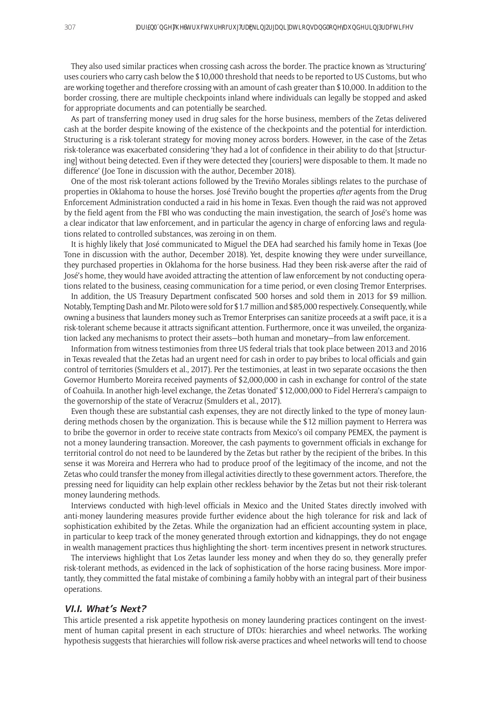They also used similar practices when crossing cash across the border. The practice known as 'structuring' uses couriers who carry cash below the \$10,000 threshold that needs to be reported to US Customs, but who are working together and therefore crossing with an amount of cash greater than \$10,000. In addition to the border crossing, there are multiple checkpoints inland where individuals can legally be stopped and asked for appropriate documents and can potentially be searched.

As part of transferring money used in drug sales for the horse business, members of the Zetas delivered cash at the border despite knowing of the existence of the checkpoints and the potential for interdiction. Structuring is a risk-tolerant strategy for moving money across borders. However, in the case of the Zetas risk-tolerance was exacerbated considering 'they had a lot of confidence in their ability to do that [structuring] without being detected. Even if they were detected they [couriers] were disposable to them. It made no difference' (Joe Tone in discussion with the author, December 2018).

One of the most risk-tolerant actions followed by the Treviño Morales siblings relates to the purchase of properties in Oklahoma to house the horses. José Treviño bought the properties *after* agents from the Drug Enforcement Administration conducted a raid in his home in Texas. Even though the raid was not approved by the field agent from the FBI who was conducting the main investigation, the search of José's home was a clear indicator that law enforcement, and in particular the agency in charge of enforcing laws and regulations related to controlled substances, was zeroing in on them.

It is highly likely that José communicated to Miguel the DEA had searched his family home in Texas (Joe Tone in discussion with the author, December 2018). Yet, despite knowing they were under surveillance, they purchased properties in Oklahoma for the horse business. Had they been risk-averse after the raid of José's home, they would have avoided attracting the attention of law enforcement by not conducting operations related to the business, ceasing communication for a time period, or even closing Tremor Enterprises.

In addition, the US Treasury Department confiscated 500 horses and sold them in 2013 for \$9 million. Notably, Tempting Dash and Mr. Piloto were sold for \$1.7 million and \$85,000 respectively. Consequently, while owning a business that launders money such as Tremor Enterprises can sanitize proceeds at a swift pace, it is a risk-tolerant scheme because it attracts significant attention. Furthermore, once it was unveiled, the organization lacked any mechanisms to protect their assets—both human and monetary—from law enforcement.

Information from witness testimonies from three US federal trials that took place between 2013 and 2016 in Texas revealed that the Zetas had an urgent need for cash in order to pay bribes to local officials and gain control of territories (Smulders et al., 2017). Per the testimonies, at least in two separate occasions the then Governor Humberto Moreira received payments of \$2,000,000 in cash in exchange for control of the state of Coahuila. In another high-level exchange, the Zetas 'donated' \$12,000,000 to Fidel Herrera's campaign to the governorship of the state of Veracruz (Smulders et al., 2017).

Even though these are substantial cash expenses, they are not directly linked to the type of money laundering methods chosen by the organization. This is because while the \$12 million payment to Herrera was to bribe the governor in order to receive state contracts from Mexico's oil company PEMEX, the payment is not a money laundering transaction. Moreover, the cash payments to government officials in exchange for territorial control do not need to be laundered by the Zetas but rather by the recipient of the bribes. In this sense it was Moreira and Herrera who had to produce proof of the legitimacy of the income, and not the Zetas who could transfer the money from illegal activities directly to these government actors. Therefore, the pressing need for liquidity can help explain other reckless behavior by the Zetas but not their risk-tolerant money laundering methods.

Interviews conducted with high-level officials in Mexico and the United States directly involved with anti-money laundering measures provide further evidence about the high tolerance for risk and lack of sophistication exhibited by the Zetas. While the organization had an efficient accounting system in place, in particular to keep track of the money generated through extortion and kidnappings, they do not engage in wealth management practices thus highlighting the short- term incentives present in network structures.

The interviews highlight that Los Zetas launder less money and when they do so, they generally prefer risk-tolerant methods, as evidenced in the lack of sophistication of the horse racing business. More importantly, they committed the fatal mistake of combining a family hobby with an integral part of their business operations.

## **VI.I. What's Next?**

This article presented a risk appetite hypothesis on money laundering practices contingent on the investment of human capital present in each structure of DTOs: hierarchies and wheel networks. The working hypothesis suggests that hierarchies will follow risk-averse practices and wheel networks will tend to choose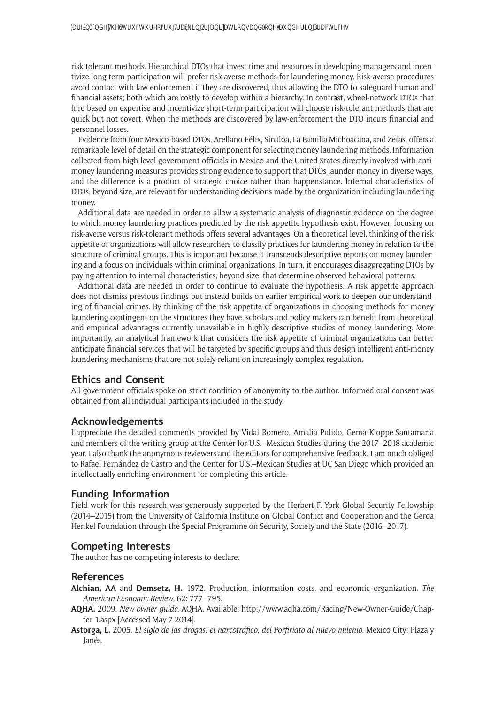risk-tolerant methods. Hierarchical DTOs that invest time and resources in developing managers and incentivize long-term participation will prefer risk-averse methods for laundering money. Risk-averse procedures avoid contact with law enforcement if they are discovered, thus allowing the DTO to safeguard human and financial assets; both which are costly to develop within a hierarchy. In contrast, wheel-network DTOs that hire based on expertise and incentivize short-term participation will choose risk-tolerant methods that are quick but not covert. When the methods are discovered by law-enforcement the DTO incurs financial and personnel losses.

Evidence from four Mexico-based DTOs, Arellano-Félix, Sinaloa, La Familia Michoacana, and Zetas, offers a remarkable level of detail on the strategic component for selecting money laundering methods. Information collected from high-level government officials in Mexico and the United States directly involved with antimoney laundering measures provides strong evidence to support that DTOs launder money in diverse ways, and the difference is a product of strategic choice rather than happenstance. Internal characteristics of DTOs, beyond size, are relevant for understanding decisions made by the organization including laundering money.

Additional data are needed in order to allow a systematic analysis of diagnostic evidence on the degree to which money laundering practices predicted by the risk appetite hypothesis exist. However, focusing on risk-averse versus risk-tolerant methods offers several advantages. On a theoretical level, thinking of the risk appetite of organizations will allow researchers to classify practices for laundering money in relation to the structure of criminal groups. This is important because it transcends descriptive reports on money laundering and a focus on individuals within criminal organizations. In turn, it encourages disaggregating DTOs by paying attention to internal characteristics, beyond size, that determine observed behavioral patterns.

Additional data are needed in order to continue to evaluate the hypothesis. A risk appetite approach does not dismiss previous findings but instead builds on earlier empirical work to deepen our understanding of financial crimes. By thinking of the risk appetite of organizations in choosing methods for money laundering contingent on the structures they have, scholars and policy-makers can benefit from theoretical and empirical advantages currently unavailable in highly descriptive studies of money laundering. More importantly, an analytical framework that considers the risk appetite of criminal organizations can better anticipate financial services that will be targeted by specific groups and thus design intelligent anti-money laundering mechanisms that are not solely reliant on increasingly complex regulation.

## **Ethics and Consent**

All government officials spoke on strict condition of anonymity to the author. Informed oral consent was obtained from all individual participants included in the study.

#### **Acknowledgements**

I appreciate the detailed comments provided by Vidal Romero, Amalia Pulido, Gema Kloppe-Santamaría and members of the writing group at the Center for U.S.–Mexican Studies during the 2017–2018 academic year. I also thank the anonymous reviewers and the editors for comprehensive feedback. I am much obliged to Rafael Fernández de Castro and the Center for U.S.–Mexican Studies at UC San Diego which provided an intellectually enriching environment for completing this article.

## **Funding Information**

Field work for this research was generously supported by the Herbert F. York Global Security Fellowship (2014–2015) from the University of California Institute on Global Conflict and Cooperation and the Gerda Henkel Foundation through the Special Programme on Security, Society and the State (2016–2017).

## **Competing Interests**

The author has no competing interests to declare.

#### **References**

- **Alchian, AA** and **Demsetz, H.** 1972. Production, information costs, and economic organization. *The American Economic Review*, 62: 777–795.
- **AQHA.** 2009. *New owner guide*. AQHA. Available: [http://www.aqha.com/Racing/New-Owner-Guide/Chap](http://www.aqha.com/Racing/New-Owner-Guide/Chapter-1.aspx)[ter-1.aspx](http://www.aqha.com/Racing/New-Owner-Guide/Chapter-1.aspx) [Accessed May 7 2014].
- **Astorga, L.** 2005. *El siglo de las drogas: el narcotráfico, del Porfiriato al nuevo milenio*. Mexico City: Plaza y Janés.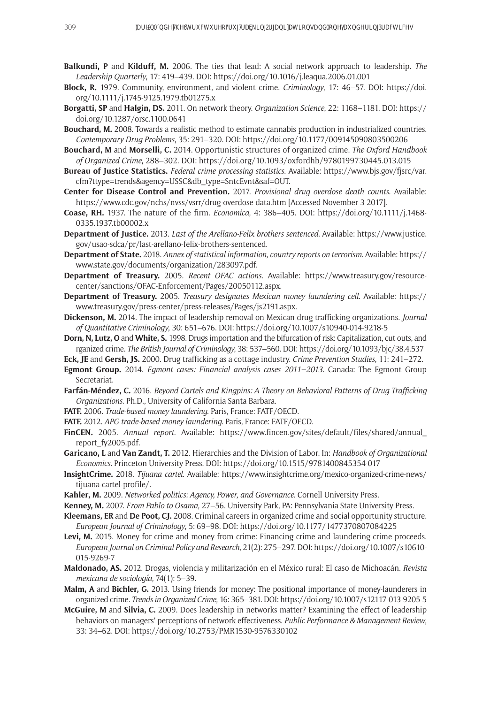- **Balkundi, P** and **Kilduff, M.** 2006. The ties that lead: A social network approach to leadership. *The Leadership Quarterly*, 17: 419–439. DOI:<https://doi.org/10.1016/j.leaqua.2006.01.001>
- **Block, R.** 1979. Community, environment, and violent crime. *Criminology*, 17: 46–57. DOI: [https://doi.](https://doi.org/10.1111/j.1745-9125.1979.tb01275.x) [org/10.1111/j.1745-9125.1979.tb01275.x](https://doi.org/10.1111/j.1745-9125.1979.tb01275.x)
- **Borgatti, SP** and **Halgin, DS.** 2011. On network theory. *Organization Science*, 22: 1168–1181. DOI: [https://](https://doi.org/10.1287/orsc.1100.0641) [doi.org/10.1287/orsc.1100.0641](https://doi.org/10.1287/orsc.1100.0641)
- **Bouchard, M.** 2008. Towards a realistic method to estimate cannabis production in industrialized countries. *Contemporary Drug Problems*, 35: 291–320. DOI:<https://doi.org/10.1177/009145090803500206>
- **Bouchard, M** and **Morselli, C.** 2014. Opportunistic structures of organized crime. *The Oxford Handbook of Organized Crime*, 288–302. DOI: <https://doi.org/10.1093/oxfordhb/9780199730445.013.015>
- **Bureau of Justice Statistics.** *Federal crime processing statistics*. Available: [https://www.bjs.gov/fjsrc/var.](https://www.bjs.gov/fjsrc/var.cfm?ttype=trends&agency=USSC&db_type=SntcEvnt&saf=OUT) [cfm?ttype=trends&agency=USSC&db\\_type=SntcEvnt&saf=OUT](https://www.bjs.gov/fjsrc/var.cfm?ttype=trends&agency=USSC&db_type=SntcEvnt&saf=OUT).
- **Center for Disease Control and Prevention.** 2017. *Provisional drug overdose death counts*. Available: <https://www.cdc.gov/nchs/nvss/vsrr/drug-overdose-data.htm> [Accessed November 3 2017].
- **Coase, RH.** 1937. The nature of the firm. *Economica*, 4: 386–405. DOI: [https://doi.org/10.1111/j.1468-](https://doi.org/10.1111/j.1468-0335.1937.tb00002.x) [0335.1937.tb00002.x](https://doi.org/10.1111/j.1468-0335.1937.tb00002.x)
- **Department of Justice.** 2013. *Last of the Arellano-Felix brothers sentenced*. Available: [https://www.justice.](https://www.justice.gov/usao-sdca/pr/last-arellano-felix-brothers-sentenced) [gov/usao-sdca/pr/last-arellano-felix-brothers-sentenced.](https://www.justice.gov/usao-sdca/pr/last-arellano-felix-brothers-sentenced)
- **Department of State.** 2018. *Annex of statistical information, country reports on terrorism*. Available: [https://](https://www.state.gov/documents/organization/283097.pdf) [www.state.gov/documents/organization/283097.pdf.](https://www.state.gov/documents/organization/283097.pdf)
- **Department of Treasury.** 2005. *Recent OFAC actions*. Available: [https://www.treasury.gov/resource](https://www.treasury.gov/resource-center/sanctions/OFAC-Enforcement/Pages/20050112.aspx)[center/sanctions/OFAC-Enforcement/Pages/20050112.aspx.](https://www.treasury.gov/resource-center/sanctions/OFAC-Enforcement/Pages/20050112.aspx)
- **Department of Treasury.** 2005. *Treasury designates Mexican money laundering cell*. Available: [https://](https://www.treasury.gov/press-center/press-releases/Pages/js2191.aspx) [www.treasury.gov/press-center/press-releases/Pages/js2191.aspx](https://www.treasury.gov/press-center/press-releases/Pages/js2191.aspx).
- **Dickenson, M.** 2014. The impact of leadership removal on Mexican drug trafficking organizations. *Journal of Quantitative Criminology*, 30: 651–676. DOI:<https://doi.org/10.1007/s10940-014-9218-5>
- **Dorn, N, Lutz, O** and **White, S.** 1998. Drugs importation and the bifurcation of risk: Capitalization, cut outs, and rganized crime. *The British Journal of Criminology*, 38: 537–560. DOI:<https://doi.org/10.1093/bjc/38.4.537>
- **Eck, JE** and **Gersh, JS.** 2000. Drug trafficking as a cottage industry. *Crime Prevention Studies*, 11: 241–272.
- **Egmont Group.** 2014. *Egmont cases: Financial analysis cases 2011–2013*. Canada: The Egmont Group Secretariat.
- **Farfán-Méndez, C.** 2016. *Beyond Cartels and Kingpins: A Theory on Behavioral Patterns of Drug Trafficking Organizations*. Ph.D., University of California Santa Barbara.
- **FATF.** 2006. *Trade-based money laundering*. Paris, France: FATF/OECD.
- **FATF.** 2012. *APG trade-based money laundering*. Paris, France: FATF/OECD.
- **FinCEN.** 2005. *Annual report*. Available: [https://www.fincen.gov/sites/default/files/shared/annual\\_](https://www.fincen.gov/sites/default/files/shared/annual_report_fy2005.pdf) [report\\_fy2005.pdf.](https://www.fincen.gov/sites/default/files/shared/annual_report_fy2005.pdf)
- **Garicano, L** and **Van Zandt, T.** 2012. Hierarchies and the Division of Labor. In: *Handbook of Organizational Economics*. Princeton University Press. DOI: <https://doi.org/10.1515/9781400845354-017>
- **InsightCrime.** 2018. *Tijuana cartel*. Available: [https://www.insightcrime.org/mexico-organized-crime-news/](https://www.insightcrime.org/mexico-organized-crime-news/tijuana-cartel-profile/) [tijuana-cartel-profile/.](https://www.insightcrime.org/mexico-organized-crime-news/tijuana-cartel-profile/)
- **Kahler, M.** 2009. *Networked politics: Agency, Power, and Governance*. Cornell University Press.
- **Kenney, M.** 2007. *From Pablo to Osama*, 27–56. University Park, PA: Pennsylvania State University Press.
- **Kleemans, ER** and **De Poot, CJ.** 2008. Criminal careers in organized crime and social opportunity structure. *European Journal of Criminology*, 5: 69–98. DOI:<https://doi.org/10.1177/1477370807084225>
- Levi, M. 2015. Money for crime and money from crime: Financing crime and laundering crime proceeds. *European Journal on Criminal Policy and Research*, 21(2): 275–297. DOI: [https://doi.org/10.1007/s10610-](https://doi.org/10.1007/s10610-015-9269-7) [015-9269-7](https://doi.org/10.1007/s10610-015-9269-7)
- **Maldonado, AS.** 2012. Drogas, violencia y militarización en el México rural: El caso de Michoacán. *Revista mexicana de sociología*, 74(1): 5–39.
- **Malm, A** and **Bichler, G.** 2013. Using friends for money: The positional importance of money-launderers in organized crime. *Trends in Organized Crime*, 16: 365–381. DOI:<https://doi.org/10.1007/s12117-013-9205-5>
- **McGuire, M** and **Silvia, C.** 2009. Does leadership in networks matter? Examining the effect of leadership behaviors on managers' perceptions of network effectiveness. *Public Performance & Management Review*, 33: 34–62. DOI: <https://doi.org/10.2753/PMR1530-9576330102>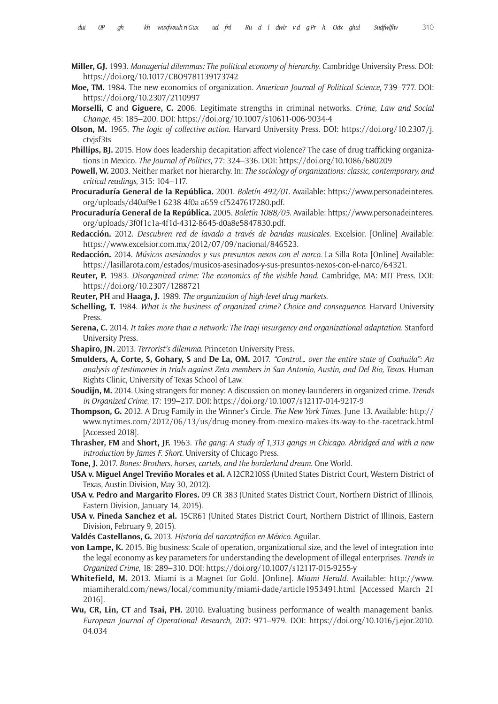- **Miller, GJ.** 1993. *Managerial dilemmas: The political economy of hierarchy*. Cambridge University Press. DOI: <https://doi.org/10.1017/CBO9781139173742>
- **Moe, TM.** 1984. The new economics of organization. *American Journal of Political Science*, 739–777. DOI: <https://doi.org/10.2307/2110997>
- **Morselli, C** and **Giguere, C.** 2006. Legitimate strengths in criminal networks. *Crime, Law and Social Change*, 45: 185–200. DOI:<https://doi.org/10.1007/s10611-006-9034-4>
- **Olson, M.** 1965. *The logic of collective action*. Harvard University Press. DOI: [https://doi.org/10.2307/j.](https://doi.org/10.2307/j.ctvjsf3ts) [ctvjsf3ts](https://doi.org/10.2307/j.ctvjsf3ts)
- **Phillips, BJ.** 2015. How does leadership decapitation affect violence? The case of drug trafficking organizations in Mexico. *The Journal of Politics*, 77: 324–336. DOI: <https://doi.org/10.1086/680209>
- **Powell, W.** 2003. Neither market nor hierarchy. In: *The sociology of organizations: classic, contemporary, and critical readings*, 315: 104–117.
- **Procuraduría General de la República.** 2001. *Boletín 492/01*. Available: [https://www.personadeinteres.](https://www.personadeinteres.org/uploads/d40af9e1-6238-4f0a-a659-cf5247617280.pdf) [org/uploads/d40af9e1-6238-4f0a-a659-cf5247617280.pdf](https://www.personadeinteres.org/uploads/d40af9e1-6238-4f0a-a659-cf5247617280.pdf).
- **Procuraduría General de la República.** 2005. *Boletín 1088/05*. Available: [https://www.personadeinteres.](https://www.personadeinteres.org/uploads/3f0f1c1a-4f1d-4312-8645-d0a8e5847830.pdf) [org/uploads/3f0f1c1a-4f1d-4312-8645-d0a8e5847830.pdf](https://www.personadeinteres.org/uploads/3f0f1c1a-4f1d-4312-8645-d0a8e5847830.pdf).
- **Redacción.** 2012. *Descubren red de lavado a través de bandas musicales*. Excelsior. [Online] Available: [https://www.excelsior.com.mx/2012/07/09/nacional/846523.](https://www.excelsior.com.mx/2012/07/09/nacional/846523)
- **Redacción.** 2014. *Músicos asesinados y sus presuntos nexos con el narco*. La Silla Rota [Online] Available: <https://lasillarota.com/estados/musicos-asesinados-y-sus-presuntos-nexos-con-el-narco/64321>.
- **Reuter, P.** 1983. *Disorganized crime: The economics of the visible hand*. Cambridge, MA: MIT Press. DOI: <https://doi.org/10.2307/1288721>
- **Reuter, PH** and **Haaga, J.** 1989. *The organization of high-level drug markets*.
- **Schelling, T.** 1984. *What is the business of organized crime? Choice and consequence*. Harvard University Press.
- **Serena, C.** 2014. *It takes more than a network: The Iraqi insurgency and organizational adaptation*. Stanford University Press.
- **Shapiro, JN.** 2013. *Terrorist's dilemma*. Princeton University Press.
- **Smulders, A, Corte, S, Gohary, S** and **De La, OM.** 2017. *"Control… over the entire state of Coahuila": An analysis of testimonies in trials against Zeta members in San Antonio, Austin, and Del Rio, Texas*. Human Rights Clinic, University of Texas School of Law.
- **Soudijn, M.** 2014. Using strangers for money: A discussion on money-launderers in organized crime. *Trends in Organized Crime*, 17: 199–217. DOI: <https://doi.org/10.1007/s12117-014-9217-9>
- **Thompson, G.** 2012. A Drug Family in the Winner's Circle. *The New York Times*, June 13. Available: [http://](http://www.nytimes.com/2012/06/13/us/drug-money-from-mexico-makes-its-way-to-the-racetrack.html) [www.nytimes.com/2012/06/13/us/drug-money-from-mexico-makes-its-way-to-the-racetrack.html](http://www.nytimes.com/2012/06/13/us/drug-money-from-mexico-makes-its-way-to-the-racetrack.html) [Accessed 2018].
- **Thrasher, FM** and **Short, JF.** 1963. *The gang: A study of 1,313 gangs in Chicago. Abridged and with a new introduction by James F. Short*. University of Chicago Press.
- **Tone, J.** 2017. *Bones: Brothers, horses, cartels, and the borderland dream*. One World.
- **USA v. Miguel Angel Treviño Morales et al.** A12CR210SS (United States District Court, Western District of Texas, Austin Division, May 30, 2012).
- **USA v. Pedro and Margarito Flores.** 09 CR 383 (United States District Court, Northern District of Illinois, Eastern Division, January 14, 2015).
- **USA v. Pineda Sanchez et al.** 15CR61 (United States District Court, Northern District of Illinois, Eastern Division, February 9, 2015).
- **Valdés Castellanos, G.** 2013. *Historia del narcotráfico en México*. Aguilar.
- **von Lampe, K.** 2015. Big business: Scale of operation, organizational size, and the level of integration into the legal economy as key parameters for understanding the development of illegal enterprises. *Trends in Organized Crime*, 18: 289–310. DOI:<https://doi.org/10.1007/s12117-015-9255-y>
- **Whitefield, M.** 2013. Miami is a Magnet for Gold. [Online]. *Miami Herald*. Available: [http://www.](http://www.miamiherald.com/news/local/community/miami-dade/article1953491.html) [miamiherald.com/news/local/community/miami-dade/article1953491.html](http://www.miamiherald.com/news/local/community/miami-dade/article1953491.html) [Accessed March 21 2016].
- **Wu, CR, Lin, CT** and **Tsai, PH.** 2010. Evaluating business performance of wealth management banks. *European Journal of Operational Research*, 207: 971–979. DOI: [https://doi.org/10.1016/j.ejor.2010.](https://doi.org/10.1016/j.ejor.2010.04.034) [04.034](https://doi.org/10.1016/j.ejor.2010.04.034)